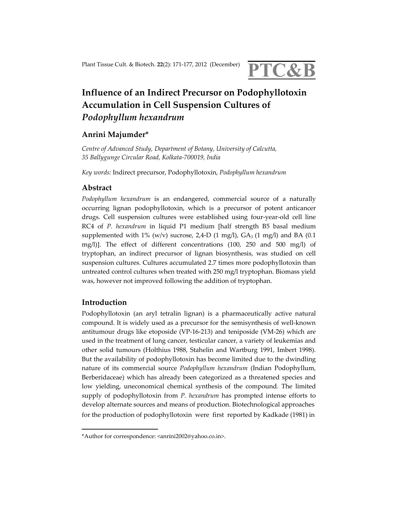

# **Influence of an Indirect Precursor on Podophyllotoxin Accumulation in Cell Suspension Cultures of**  *Podophyllum hexandrum*

## **Anrini Majumder\***

*Centre of Advanced Study, Department of Botany, University of Calcutta, 35 Ballygunge Circular Road, Kolkata-700019, India* 

*Key words:* Indirect precursor, Podophyllotoxin, *Podophyllum hexandrum*

## **Abstract**

*Podophyllum hexandrum* is an endangered, commercial source of a naturally occurring lignan podophyllotoxin, which is a precursor of potent anticancer drugs. Cell suspension cultures were established using four-year-old cell line RC4 of *P. hexandrum* in liquid P1 medium [half strength B5 basal medium supplemented with 1% (w/v) sucrose, 2,4-D (1 mg/l),  $GA_3$  (1 mg/l) and BA (0.1 mg/l)]. The effect of different concentrations (100, 250 and 500 mg/l) of tryptophan, an indirect precursor of lignan biosynthesis, was studied on cell suspension cultures. Cultures accumulated 2.7 times more podophyllotoxin than untreated control cultures when treated with 250 mg/l tryptophan. Biomass yield was, however not improved following the addition of tryptophan.

#### **Introduction**

Podophyllotoxin (an aryl tetralin lignan) is a pharmaceutically active natural compound. It is widely used as a precursor for the semisynthesis of well-known antitumour drugs like etoposide (VP-16-213) and teniposide (VM-26) which are used in the treatment of lung cancer, testicular cancer, a variety of leukemias and other solid tumours (Holthius 1988, Stahelin and Wartburg 1991, Imbert 1998). But the availability of podophyllotoxin has become limited due to the dwindling nature of its commercial source *Podophyllum hexandrum* (Indian Podophyllum, Berberidaceae) which has already been categorized as a threatened species and low yielding, uneconomical chemical synthesis of the compound. The limited supply of podophyllotoxin from *P. hexandrum* has prompted intense efforts to develop alternate sources and means of production. Biotechnological approaches for the production of podophyllotoxin were first reported by Kadkade (1981) in

<sup>\*</sup>Author for correspondence: <anrini2002@yahoo.co.in>.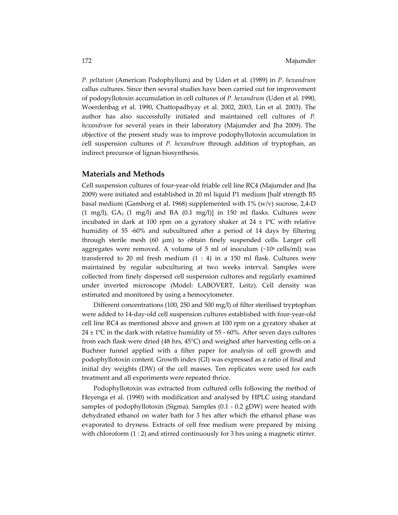*P. peltatum* (American Podophyllum) and by Uden et al. (1989) in *P. hexandrum*  callus cultures. Since then several studies have been carried out for improvement of podopyllotoxin accumulation in cell cultures of *P. hexandrum* (Uden et al. 1990, Woerdenbag et al. 1990, Chattopadhyay et al. 2002, 2003, Lin et al. 2003). The author has also successfully initiated and maintained cell cultures of *P. hexandrum* for several years in their laboratory (Majumder and Jha 2009). The objective of the present study was to improve podophyllotoxin accumulation in cell suspension cultures of *P. hexandrum* through addition of tryptophan, an indirect precursor of lignan biosynthesis.

#### **Materials and Methods**

Cell suspension cultures of four-year-old friable cell line RC4 (Majumder and Jha 2009) were initiated and established in 20 ml liquid P1 medium [half strength B5 basal medium (Gamborg et al. 1968) supplemented with 1% (w/v) sucrose, 2,4-D  $(1 \text{ mg/l})$ ,  $GA_3$   $(1 \text{ mg/l})$  and BA  $(0.1 \text{ mg/l})$  in 150 ml flasks. Cultures were incubated in dark at 100 rpm on a gyratory shaker at  $24 \pm 1^{\circ}$ C with relative humidity of 55 -60% and subcultured after a period of 14 days by filtering through sterile mesh  $(60 \mu m)$  to obtain finely suspended cells. Larger cell aggregates were removed. A volume of 5 ml of inoculum  $(\sim 10<sup>4</sup>$  cells/ml) was transferred to 20 ml fresh medium  $(1 : 4)$  in a 150 ml flask. Cultures were maintained by regular subculturing at two weeks interval. Samples were collected from finely dispersed cell suspension cultures and regularly examined under inverted microscope (Model: LABOVERT, Leitz). Cell density was estimated and monitored by using a hemocytometer.

Different concentrations (100, 250 and 500 mg/l) of filter sterilised tryptophan were added to 14-day-old cell suspension cultures established with four-year-old cell line RC4 as mentioned above and grown at 100 rpm on a gyratory shaker at  $24 \pm 1$ °C in the dark with relative humidity of 55 - 60%. After seven days cultures from each flask were dried (48 hrs, 45°C) and weighed after harvesting cells on a Buchner funnel applied with a filter paper for analysis of cell growth and podophyllotoxin content. Growth index (GI) was expressed as a ratio of final and initial dry weights (DW) of the cell masses. Ten replicates were used for each treatment and all experiments were repeated thrice.

Podophyllotoxin was extracted from cultured cells following the method of Heyenga et al. (1990) with modification and analysed by HPLC using standard samples of podophyllotoxin (Sigma). Samples (0.1 - 0.2 gDW) were heated with dehydrated ethanol on water bath for 3 hrs after which the ethanol phase was evaporated to dryness. Extracts of cell free medium were prepared by mixing with chloroform (1 : 2) and stirred continuously for 3 hrs using a magnetic stirrer.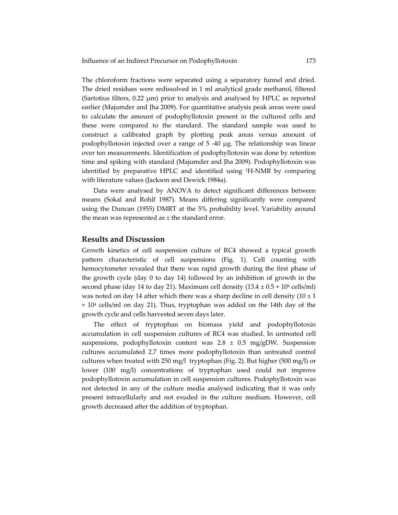The chloroform fractions were separated using a separatory funnel and dried. The dried residues were redissolved in 1 ml analytical grade methanol, filtered (Sartotius filters,  $0.22 \mu m$ ) prior to analysis and analysed by HPLC as reported earlier (Majumder and Jha 2009). For quantitative analysis peak areas were used to calculate the amount of podophyllotoxin present in the cultured cells and these were compared to the standard. The standard sample was used to construct a calibrated graph by plotting peak areas versus amount of podophyllotoxin injected over a range of 5 -40 µg. The relationship was linear over ten measurements. Identification of podophyllotoxin was done by retention time and spiking with standard (Majumder and Jha 2009). Podophyllotoxin was identified by preparative HPLC and identified using 1H-NMR by comparing with literature values (Jackson and Dewick 1984a).

Data were analysed by ANOVA to detect significant differences between means (Sokal and Rohlf 1987). Means differing significantly were compared using the Duncan (1955) DMRT at the 5% probability level. Variability around the mean was represented as  $\pm$  the standard error.

## **Results and Discussion**

Growth kinetics of cell suspension culture of RC4 showed a typical growth pattern characteristic of cell suspensions (Fig. 1). Cell counting with hemocytometer revealed that there was rapid growth during the first phase of the growth cycle (day 0 to day 14) followed by an inhibition of growth in the second phase (day 14 to day 21). Maximum cell density  $(13.4 \pm 0.5 \times 10^4 \text{ cells/ml})$ was noted on day 14 after which there was a sharp decline in cell density  $(10 \pm 1)$  $\times$  10<sup>4</sup> cells/ml on day 21). Thus, tryptophan was added on the 14th day of the growth cycle and cells harvested seven days later.

The effect of tryptophan on biomass yield and podophyllotoxin accumulation in cell suspension cultures of RC4 was studied. In untreated cell suspensions, podophyllotoxin content was  $2.8 \pm 0.5$  mg/gDW. Suspension cultures accumulated 2.7 times more podophyllotoxin than untreated control cultures when treated with 250 mg/l tryptophan (Fig. 2). But higher (500 mg/l) or lower (100 mg/l) concentrations of tryptophan used could not improve podophyllotoxin accumulation in cell suspension cultures. Podophyllotoxin was not detected in any of the culture media analysed indicating that it was only present intracellularly and not exuded in the culture medium. However, cell growth decreased after the addition of tryptophan.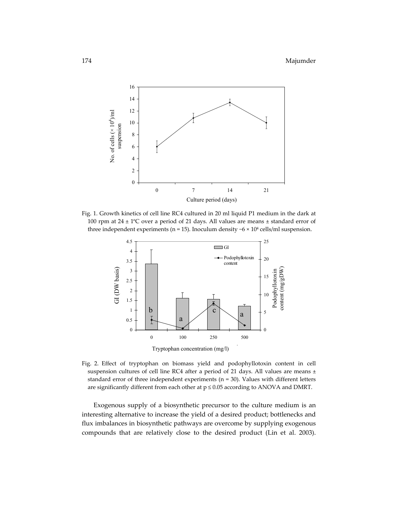

Fig. 1. Growth kinetics of cell line RC4 cultured in 20 ml liquid P1 medium in the dark at 100 rpm at  $24 \pm 1^{\circ}$ C over a period of 21 days. All values are means  $\pm$  standard error of three independent experiments (n = 15). Inoculum density  $\sim$  6  $\times$  10<sup>4</sup> cells/ml suspension.



Fig. 2. Effect of tryptophan on biomass yield and podophyllotoxin content in cell suspension cultures of cell line RC4 after a period of 21 days. All values are means ± standard error of three independent experiments ( $n = 30$ ). Values with different letters are significantly different from each other at  $p \leq 0.05$  according to ANOVA and DMRT.

 Exogenous supply of a biosynthetic precursor to the culture medium is an interesting alternative to increase the yield of a desired product; bottlenecks and flux imbalances in biosynthetic pathways are overcome by supplying exogenous compounds that are relatively close to the desired product (Lin et al. 2003).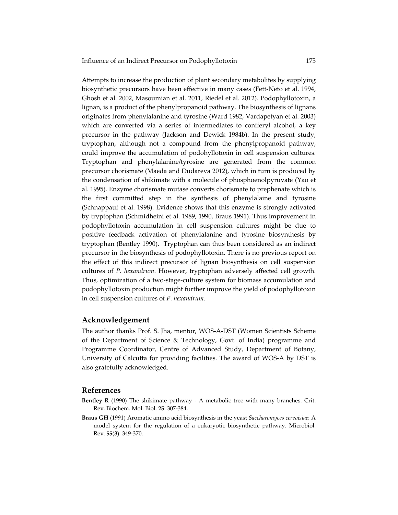Attempts to increase the production of plant secondary metabolites by supplying biosynthetic precursors have been effective in many cases (Fett-Neto et al. 1994, Ghosh et al. 2002, Masoumian et al. 2011, Riedel et al. 2012). Podophyllotoxin, a lignan, is a product of the phenylpropanoid pathway. The biosynthesis of lignans originates from phenylalanine and tyrosine (Ward 1982, Vardapetyan et al. 2003) which are converted via a series of intermediates to coniferyl alcohol, a key precursor in the pathway (Jackson and Dewick 1984b). In the present study, tryptophan, although not a compound from the phenylpropanoid pathway, could improve the accumulation of podohyllotoxin in cell suspension cultures. Tryptophan and phenylalanine/tyrosine are generated from the common precursor chorismate (Maeda and Dudareva 2012), which in turn is produced by the condensation of shikimate with a molecule of phosphoenolpyruvate (Yao et al. 1995). Enzyme chorismate mutase converts chorismate to prephenate which is the first committed step in the synthesis of phenylalaine and tyrosine (Schnappauf et al. 1998). Evidence shows that this enzyme is strongly activated by tryptophan (Schmidheini et al. 1989, 1990, Braus 1991). Thus improvement in podophyllotoxin accumulation in cell suspension cultures might be due to positive feedback activation of phenylalanine and tyrosine biosynthesis by tryptophan (Bentley 1990). Tryptophan can thus been considered as an indirect precursor in the biosynthesis of podophyllotoxin. There is no previous report on the effect of this indirect precursor of lignan biosynthesis on cell suspension cultures of *P. hexandrum*. However, tryptophan adversely affected cell growth. Thus, optimization of a two-stage-culture system for biomass accumulation and podophyllotoxin production might further improve the yield of podophyllotoxin in cell suspension cultures of *P. hexandrum.*

#### **Acknowledgement**

The author thanks Prof. S. Jha, mentor, WOS-A-DST (Women Scientists Scheme of the Department of Science & Technology, Govt. of India) programme and Programme Coordinator, Centre of Advanced Study, Department of Botany, University of Calcutta for providing facilities. The award of WOS-A by DST is also gratefully acknowledged.

### **References**

- **Bentley R** (1990) The shikimate pathway A metabolic tree with many branches. Crit. Rev. Biochem. Mol. Biol. **25**: 307-384.
- **Braus GH** (1991) Aromatic amino acid biosynthesis in the yeast *Saccharomyces cerevisiae*: A model system for the regulation of a eukaryotic biosynthetic pathway. Microbiol. Rev. **55**(3): 349-370.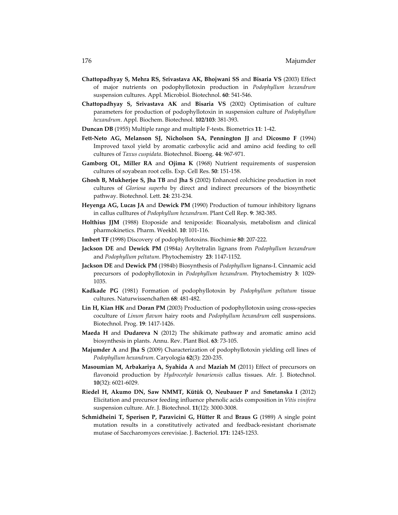- **Chattopadhyay S, Mehra RS, Srivastava AK, Bhojwani SS** and **Bisaria VS** (2003) Effect of major nutrients on podophyllotoxin production in *Podophyllum hexandrum* suspension cultures. Appl. Microbiol. Biotechnol. **60**: 541-546.
- **Chattopadhyay S, Srivastava AK** and **Bisaria VS** (2002) Optimisation of culture parameters for production of podophyllotoxin in suspension culture of *Podophyllum hexandrum*. Appl. Biochem. Biotechnol. **102/103**: 381-393.
- **Duncan DB** (1955) Multiple range and multiple F-tests. Biometrics **11**: 1-42.
- **Fett-Neto AG, Melanson SJ, Nicholson SA, Pennington JJ** and **Dicosmo F** (1994) Improved taxol yield by aromatic carboxylic acid and amino acid feeding to cell cultures of *Taxus cuspidata*. Biotechnol. Bioeng. **44**: 967-971.
- **Gamborg OL, Miller RA** and **Ojima K** (1968) Nutrient requirements of suspension cultures of soyabean root cells. Exp. Cell Res. **50**: 151-158.
- **Ghosh B, Mukherjee S, Jha TB** and **Jha S** (2002) Enhanced colchicine production in root cultures of *Gloriosa superba* by direct and indirect precursors of the biosynthetic pathway. Biotechnol. Lett. **24**: 231-234.
- **Heyenga AG, Lucas JA** and **Dewick PM** (1990) Production of tumour inhibitory lignans in callus culltures of *Podophyllum hexandrum*. Plant Cell Rep. **9**: 382-385.
- **Holthius JJM** (1988) Etoposide and teniposide: Bioanalysis, metabolism and clinical pharmokinetics. Pharm. Weekbl. **10**: 101-116.
- **Imbert TF** (1998) Discovery of podophyllotoxins. Biochimie **80**: 207-222.
- **Jackson DE** and **Dewick PM** (1984a) Aryltetralin lignans from *Podophyllum hexandrum*  and *Podophyllum peltatum*. Phytochemistry **23**: 1147-1152.
- **Jackson DE** and **Dewick PM** (1984b) Biosynthesis of *Podophyllum* lignans-I. Cinnamic acid precursors of podophyllotoxin in *Podophyllum hexandrum*. Phytochemistry **3**: 1029- 1035.
- **Kadkade PG** (1981) Formation of podophyllotoxin by *Podophyllum peltatum* tissue cultures. Naturwissenchaften **68**: 481-482.
- **Lin H, Kian HK** and **Doran PM** (2003) Production of podophyllotoxin using cross-species coculture of *Linum flavum* hairy roots and *Podophyllum hexandrum* cell suspensions. Biotechnol. Prog. **19**: 1417-1426.
- **Maeda H** and **Dudareva N** (2012) The shikimate pathway and aromatic amino acid biosynthesis in plants. Annu. Rev. Plant Biol. **63**: 73-105.
- **Majumder A** and **Jha S** (2009) Characterization of podophyllotoxin yielding cell lines of *Podophyllum hexandrum*. Caryologia **62**(3): 220-235.
- **Masoumian M, Arbakariya A, Syahida A** and **Maziah M** (2011) Effect of precursors on flavonoid production by *Hydrocotyle bonariensis* callus tissues. Afr. J. Biotechnol. **10**(32): 6021-6029.
- **Riedel H, Akumo DN, Saw NMMT, Kütük O, Neubauer P** and **Smetanska I** (2012) Elicitation and precursor feeding influence phenolic acids composition in *Vitis vinifera*  suspension culture. Afr. J. Biotechnol. **11**(12): 3000-3008.
- **Schmidheini T, Sperisen P, Paravicini G, Hütter R** and **Braus G** (1989) A single point mutation results in a constitutively activated and feedback-resistant chorismate mutase of Saccharomyces cerevisiae. J. Bacteriol. **171**: 1245-1253.